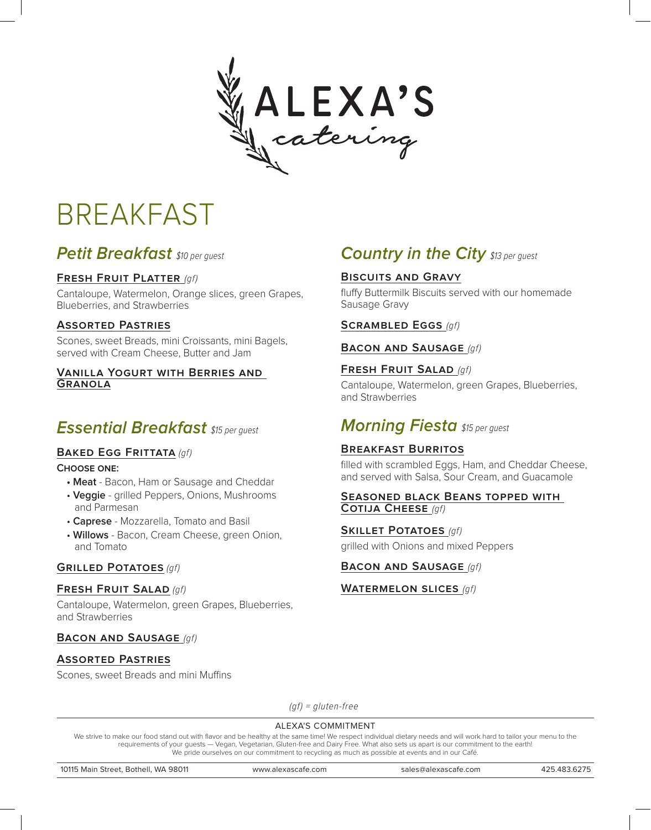

# BREAKFAST

# **Petit Breakfast** \$10 per quest

# **Fresh Fruit Platter** (gf)

Cantaloupe, Watermelon, Orange slices, green Grapes, Blueberries, and Strawberries

# **Assorted Pastries**

Scones, sweet Breads, mini Croissants, mini Bagels, served with Cream Cheese, Butter and Jam

#### **Vanilla Yogurt with Berries and Granola**

# **Essential Breakfast** \$15 per quest

# **BAKED EGG FRITTATA (gf)**

#### **Choose one:**

- **Meat** Bacon, Ham or Sausage and Cheddar
- **Veggie** grilled Peppers, Onions, Mushrooms and Parmesan
- **Caprese** Mozzarella, Tomato and Basil
- **Willows** Bacon, Cream Cheese, green Onion, and Tomato

# **Grilled Potatoes** (gf)

#### **Fresh Fruit Salad** (gf)

Cantaloupe, Watermelon, green Grapes, Blueberries, and Strawberries

# **BACON AND SAUSAGE (gf)**

# **Assorted Pastries**

Scones, sweet Breads and mini Muffins

# **Country in the City \$13 per guest**

# **Biscuits and Gravy**

fluffy Buttermilk Biscuits served with our homemade Sausage Gravy

#### **Scrambled Eggs** (gf)

#### **Bacon and Sausage** (gf)

# **Fresh Fruit Salad** (gf)

Cantaloupe, Watermelon, green Grapes, Blueberries, and Strawberries

# **Morning Fiesta** \$15 per guest

# **Breakfast Burritos**

filled with scrambled Eggs, Ham, and Cheddar Cheese, and served with Salsa, Sour Cream, and Guacamole

#### **Seasoned black Beans topped with Cotija Cheese** (gf)

**Skillet Potatoes** (gf) grilled with Onions and mixed Peppers

# **BACON AND SAUSAGE (gf)**

#### **Watermelon slices** (gf)

 $(qf) =$  gluten-free

#### ALEXA'S COMMITMENT

We strive to make our food stand out with flavor and be healthy at the same time! We respect individual dietary needs and will work hard to tailor your menu to the requirements of your guests — Vegan, Vegetarian, Gluten-free and Dairy Free. What also sets us apart is our commitment to the earth! We pride ourselves on our commitment to recycling as much as possible at events and in our Café.

10115 Main Street, Bothell, WA 98011 www.alexascafe.com sales@alexascafe.com 425.483.6275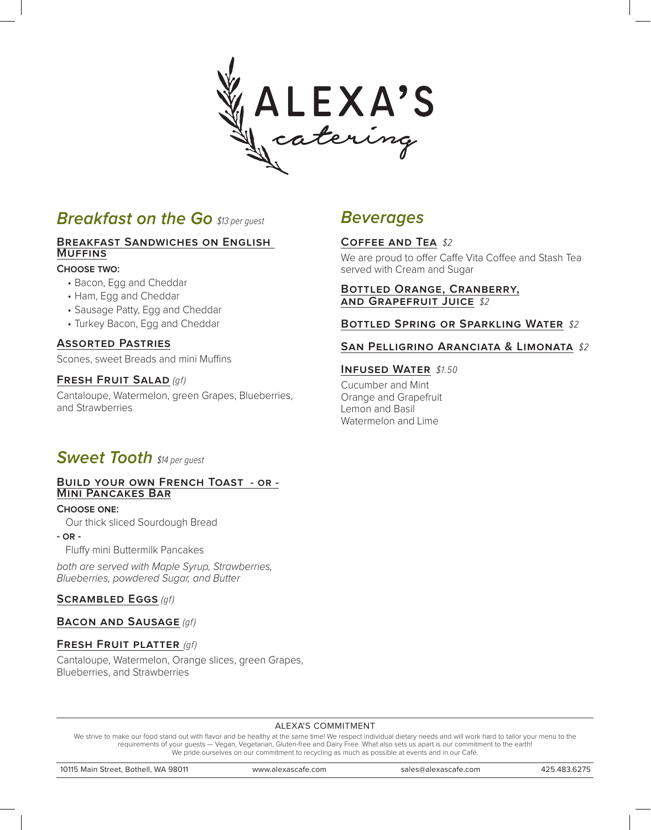

# **Breakfast on the Go** \$13 per quest

# **Breakfast Sandwiches on English Muffins**

#### **Choose two:**

- Bacon, Egg and Cheddar
- Ham, Egg and Cheddar
- Sausage Patty, Egg and Cheddar
- Turkey Bacon, Egg and Cheddar

#### **Assorted Pastries**

Scones, sweet Breads and mini Muffins

#### **Fresh Fruit Salad** (gf)

Cantaloupe, Watermelon, green Grapes, Blueberries, and Strawberries

# **Beverages**

# **Coffee and Tea** \$2

We are proud to offer Caffe Vita Coffee and Stash Tea served with Cream and Sugar

#### **Bottled Orange, Cranberry, and Grapefruit Juice** \$2

#### **Bottled Spring or Sparkling Water** \$2

#### **San Pelligrino Aranciata & Limonata** \$2

#### **INFUSED WATER \$1.50**

Cucumber and Mint Orange and Grapefruit Lemon and Basil Watermelon and Lime

# **Sweet Tooth** \$14 per guest

#### **Build your own French Toast - or - Mini Pancakes Bar**

#### **Choose one:**

Our thick sliced Sourdough Bread

**- or -**

Fluffy mini Buttermilk Pancakes

both are served with Maple Syrup, Strawberries, Blueberries, powdered Sugar, and Butter

# **Scrambled Eggs** (gf)

# **Bacon and Sausage** (gf)

#### **Fresh Fruit platter** (gf)

Cantaloupe, Watermelon, Orange slices, green Grapes, Blueberries, and Strawberries

#### ALEXA'S COMMITMENT

We strive to make our food stand out with flavor and be healthy at the same time! We respect individual dietary needs and will work hard to tailor your menu to the requirements of your guests — Vegan, Vegetarian, Gluten-free and Dairy Free. What also sets us apart is our commitment to the earth! We pride ourselves on our commitment to recycling as much as possible at events and in our Café.

10115 Main Street, Bothell, WA 98011 www.alexascafe.com sales@alexascafe.com 425.483.6275